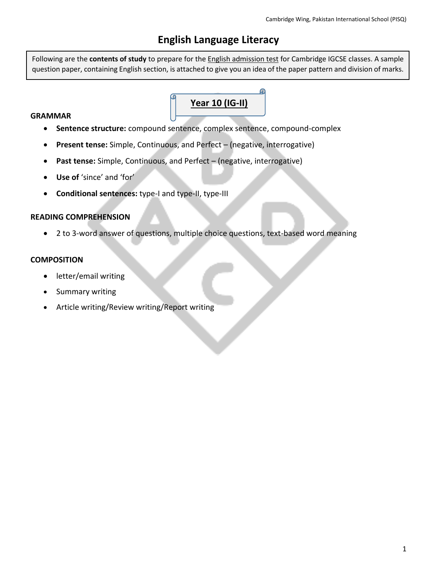## **English Language Literacy**

Following are the **contents of study** to prepare for the English admission test for Cambridge IGCSE classes. A sample question paper, containing English section, is attached to give you an idea of the paper pattern and division of marks.

# **Year 10 (IG-II)**

#### **GRAMMAR**

- **Sentence structure:** compound sentence, complex sentence, compound-complex
- **Present tense:** Simple, Continuous, and Perfect (negative, interrogative)
- **Past tense:** Simple, Continuous, and Perfect (negative, interrogative)
- **Use of** 'since' and 'for'
- **Conditional sentences:** type-I and type-II, type-III

#### **READING COMPREHENSION**

• 2 to 3-word answer of questions, multiple choice questions, text-based word meaning

#### **COMPOSITION**

- letter/email writing
- Summary writing
- Article writing/Review writing/Report writing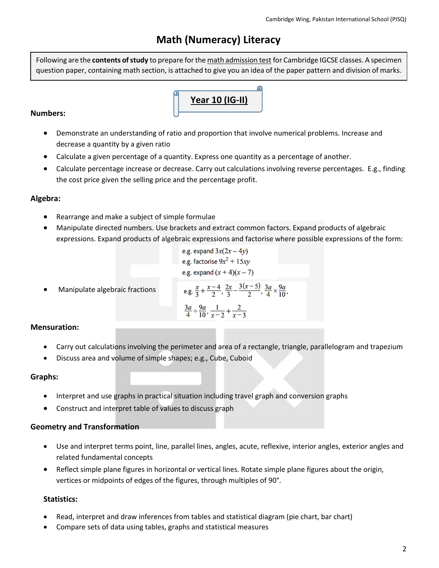# **Math (Numeracy) Literacy**

Following are the **contents of study** to prepare for the math admission test for Cambridge IGCSE classes. A specimen question paper, containing math section, is attached to give you an idea of the paper pattern and division of marks.

# **Year 10 (IG-II)**

#### **Numbers:**

- Demonstrate an understanding of ratio and proportion that involve numerical problems. Increase and decrease a quantity by a given ratio
- Calculate a given percentage of a quantity. Express one quantity as a percentage of another.
- Calculate percentage increase or decrease. Carry out calculations involving reverse percentages. E.g., finding the cost price given the selling price and the percentage profit.

#### **Algebra:**

- Rearrange and make a subject of simple formulae
- Manipulate directed numbers. Use brackets and extract common factors. Expand products of algebraic expressions. Expand products of algebraic expressions and factorise where possible expressions of the form:

e.g. expand 
$$
3x(2x - 4y)
$$
  
e.g. factorise  $9x^2 + 15xy$   
e.g. expand  $(x + 4)(x - 7)$ 

• Manipulate algebraic fractions

e.g. 
$$
\frac{x}{3} + \frac{x-4}{2}, \frac{2x}{3} - \frac{3(x-5)}{2}, \frac{3a}{4} \times \frac{9a}{10}
$$
  
 $\frac{3a}{4} \div \frac{9a}{10}, \frac{1}{x-2} + \frac{2}{x-3}$ 

#### **Mensuration:**

- Carry out calculations involving the perimeter and area of a rectangle, triangle, parallelogram and trapezium
- Discuss area and volume of simple shapes; e.g., Cube, Cuboid

#### **Graphs:**

- Interpret and use graphs in practical situation including travel graph and conversion graphs
- Construct and interpret table of values to discuss graph

#### **Geometry and Transformation**

- Use and interpret terms point, line, parallel lines, angles, acute, reflexive, interior angles, exterior angles and related fundamental concepts
- Reflect simple plane figures in horizontal or vertical lines. Rotate simple plane figures about the origin, vertices or midpoints of edges of the figures, through multiples of 90°.

#### **Statistics:**

- Read, interpret and draw inferences from tables and statistical diagram (pie chart, bar chart)
- Compare sets of data using tables, graphs and statistical measures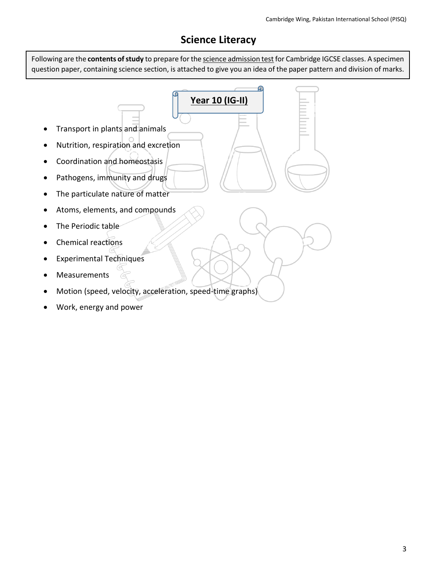# **Science Literacy**

Following are the **contents of study** to prepare for the science admission test for Cambridge IGCSE classes. A specimen question paper, containing science section, is attached to give you an idea of the paper pattern and division of marks.

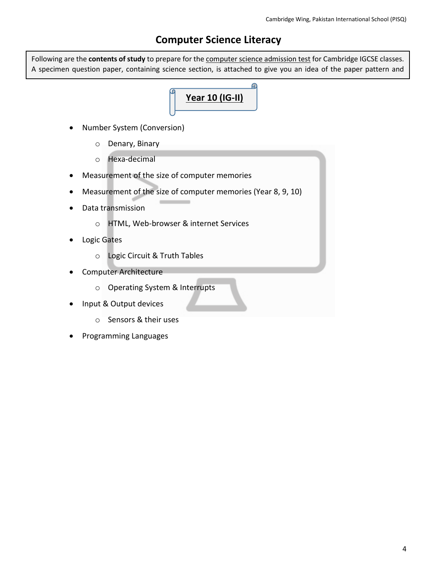### **Computer Science Literacy**

Following are the **contents of study** to prepare for the computer science admission test for Cambridge IGCSE classes. A specimen question paper, containing science section, is attached to give you an idea of the paper pattern and

 $\mathbf{\Omega}$ 

# **Year 10 (IG-II)**

- Number System (Conversion)
	- o Denary, Binary
	- o Hexa-decimal
- Measurement of the size of computer memories
- Measurement of the size of computer memories (Year 8, 9, 10)
- Data transmission
	- o HTML, Web-browser & internet Services
- Logic Gates

division of marks.

- o Logic Circuit & Truth Tables
- Computer Architecture
	- o Operating System & Interrupts
- Input & Output devices
	- o Sensors & their uses
- Programming Languages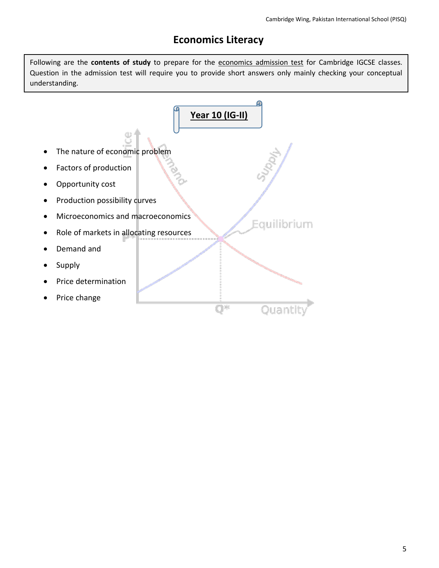## **Economics Literacy**

Following are the **contents of study** to prepare for the economics admission test for Cambridge IGCSE classes. Question in the admission test will require you to provide short answers only mainly checking your conceptual understanding.